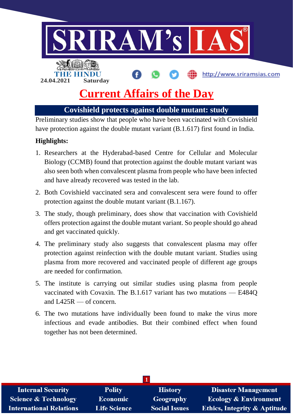

**Covishield protects against double mutant: study**

Preliminary studies show that people who have been vaccinated with Covishield have protection against the double mutant variant (B.1.617) first found in India.

### **Highlights:**

- 1. Researchers at the Hyderabad-based Centre for Cellular and Molecular Biology (CCMB) found that protection against the double mutant variant was also seen both when convalescent plasma from people who have been infected and have already recovered was tested in the lab.
- 2. Both Covishield vaccinated sera and convalescent sera were found to offer protection against the double mutant variant (B.1.167).
- 3. The study, though preliminary, does show that vaccination with Covishield offers protection against the double mutant variant. So people should go ahead and get vaccinated quickly.
- 4. The preliminary study also suggests that convalescent plasma may offer protection against reinfection with the double mutant variant. Studies using plasma from more recovered and vaccinated people of different age groups are needed for confirmation.
- 5. The institute is carrying out similar studies using plasma from people vaccinated with Covaxin. The B.1.617 variant has two mutations — E484Q and L425R — of concern.
- 6. The two mutations have individually been found to make the virus more infectious and evade antibodies. But their combined effect when found together has not been determined.

| <b>Internal Security</b>        | <b>Polity</b>       | <b>History</b>       | <b>Disaster Management</b>              |  |  |  |
|---------------------------------|---------------------|----------------------|-----------------------------------------|--|--|--|
| <b>Science &amp; Technology</b> | <b>Economic</b>     | Geography            | <b>Ecology &amp; Environment</b>        |  |  |  |
| <b>International Relations</b>  | <b>Life Science</b> | <b>Social Issues</b> | <b>Ethics, Integrity &amp; Aptitude</b> |  |  |  |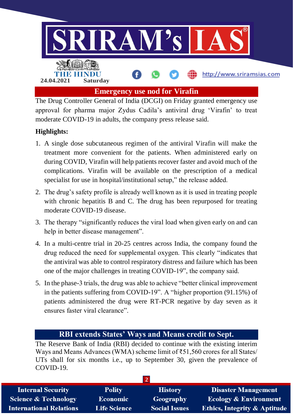

The Drug Controller General of India (DCGI) on Friday granted emergency use approval for pharma major Zydus Cadila's antiviral drug 'Virafin' to treat moderate COVID-19 in adults, the company press release said.

# **Highlights:**

- 1. A single dose subcutaneous regimen of the antiviral Virafin will make the treatment more convenient for the patients. When administered early on during COVID, Virafin will help patients recover faster and avoid much of the complications. Virafin will be available on the prescription of a medical specialist for use in hospital/institutional setup," the release added.
- 2. The drug's safety profile is already well known as it is used in treating people with chronic hepatitis B and C. The drug has been repurposed for treating moderate COVID-19 disease.
- 3. The therapy "significantly reduces the viral load when given early on and can help in better disease management".
- 4. In a multi-centre trial in 20-25 centres across India, the company found the drug reduced the need for supplemental oxygen. This clearly "indicates that the antiviral was able to control respiratory distress and failure which has been one of the major challenges in treating COVID-19", the company said.
- 5. In the phase-3 trials, the drug was able to achieve "better clinical improvement in the patients suffering from COVID-19". A "higher proportion (91.15%) of patients administered the drug were RT-PCR negative by day seven as it ensures faster viral clearance".

# **RBI extends States' Ways and Means credit to Sept.**

The Reserve Bank of India (RBI) decided to continue with the existing interim Ways and Means Advances (WMA) scheme limit of ₹51,560 crores for all States/ UTs shall for six months i.e., up to September 30, given the prevalence of COVID-19.

| <b>Internal Security</b>        | <b>Polity</b>       | <b>History</b>       | <b>Disaster Management</b>              |  |  |  |
|---------------------------------|---------------------|----------------------|-----------------------------------------|--|--|--|
| <b>Science &amp; Technology</b> | <b>Economic</b>     | Geography            | <b>Ecology &amp; Environment</b>        |  |  |  |
| <b>International Relations</b>  | <b>Life Science</b> | <b>Social Issues</b> | <b>Ethics, Integrity &amp; Aptitude</b> |  |  |  |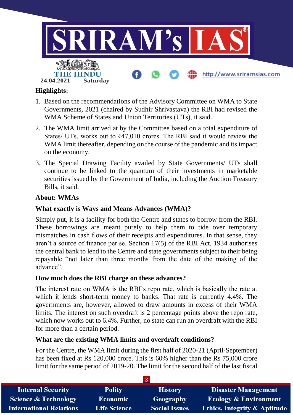

### **Highlights:**

- 1. Based on the recommendations of the Advisory Committee on WMA to State Governments, 2021 (chaired by Sudhir Shrivastava) the RBI had revised the WMA Scheme of States and Union Territories (UTs), it said.
- 2. The WMA limit arrived at by the Committee based on a total expenditure of States/ UTs, works out to  $\text{\textsterling}47,010$  crores. The RBI said it would review the WMA limit thereafter, depending on the course of the pandemic and its impact on the economy.
- 3. The Special Drawing Facility availed by State Governments/ UTs shall continue to be linked to the quantum of their investments in marketable securities issued by the Government of India, including the Auction Treasury Bills, it said.

### **About: WMAs**

#### **What exactly is Ways and Means Advances (WMA)?**

Simply put, it is a facility for both the Centre and states to borrow from the RBI. These borrowings are meant purely to help them to tide over temporary mismatches in cash flows of their receipts and expenditures. In that sense, they aren't a source of finance per se. Section 17(5) of the RBI Act, 1934 authorises the central bank to lend to the Centre and state governments subject to their being repayable "not later than three months from the date of the making of the advance".

#### **How much does the RBI charge on these advances?**

The interest rate on WMA is the RBI's repo rate, which is basically the rate at which it lends short-term money to banks. That rate is currently 4.4%. The governments are, however, allowed to draw amounts in excess of their WMA limits. The interest on such overdraft is 2 percentage points above the repo rate, which now works out to 6.4%. Further, no state can run an overdraft with the RBI for more than a certain period.

#### **What are the existing WMA limits and overdraft conditions?**

For the Centre, the WMA limit during the first half of 2020-21 (April-September) has been fixed at Rs 120,000 crore. This is 60% higher than the Rs 75,000 crore limit for the same period of 2019-20. The limit for the second half of the last fiscal

| <b>Internal Security</b>        | <b>Polity</b>       | <b>History</b>       | <b>Disaster Management</b>              |  |  |  |
|---------------------------------|---------------------|----------------------|-----------------------------------------|--|--|--|
| <b>Science &amp; Technology</b> | <b>Economic</b>     | Geography            | <b>Ecology &amp; Environment</b>        |  |  |  |
| <b>International Relations</b>  | <b>Life Science</b> | <b>Social Issues</b> | <b>Ethics, Integrity &amp; Aptitude</b> |  |  |  |